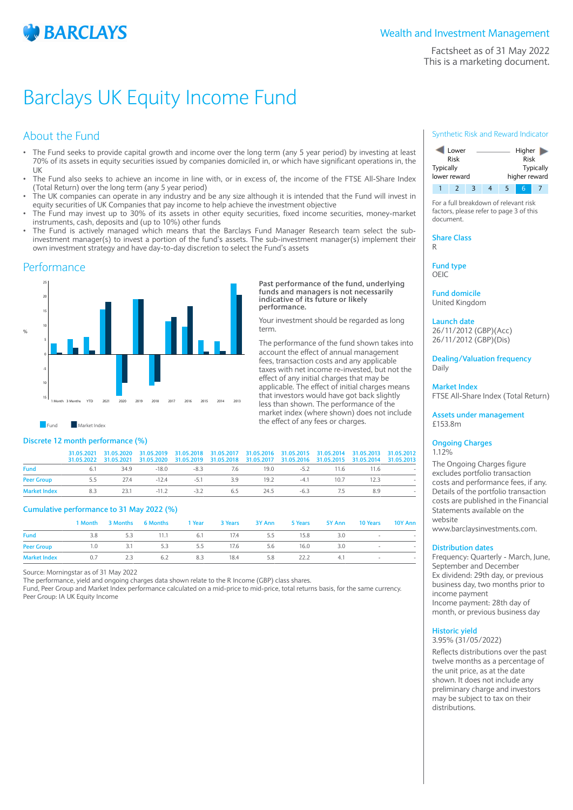

Factsheet as of 31 May 2022 This is a marketing document.

# Barclays UK Equity Income Fund

## About the Fund

- The Fund seeks to provide capital growth and income over the long term (any 5 year period) by investing at least 70% of its assets in equity securities issued by companies domiciled in, or which have significant operations in, the UK
- The Fund also seeks to achieve an income in line with, or in excess of, the income of the FTSE All-Share Index (Total Return) over the long term (any 5 year period)
- The UK companies can operate in any industry and be any size although it is intended that the Fund will invest in equity securities of UK Companies that pay income to help achieve the investment objective
- The Fund may invest up to 30% of its assets in other equity securities, fixed income securities, money-market instruments, cash, deposits and (up to 10%) other funds
- The Fund is actively managed which means that the Barclays Fund Manager Research team select the subinvestment manager(s) to invest a portion of the fund's assets. The sub-investment manager(s) implement their own investment strategy and have day-to-day discretion to select the Fund's assets

## **Performance**



**Past performance of the fund, underlying funds and managers is not necessarily indicative of its future or likely performance.**

Your investment should be regarded as long term.

The performance of the fund shown takes into account the effect of annual management fees, transaction costs and any applicable taxes with net income re-invested, but not the effect of any initial charges that may be applicable. The effect of initial charges means that investors would have got back slightly less than shown. The performance of the market index (where shown) does not include the effect of any fees or charges.

## Fund Market Index

## **Discrete 12 month performance (%)**

|                     |                                             | 31.05.2021 31.05.2020 31.05.2019 31.05.2018 31.05.2017 31.05.2016 31.05.2015 31.05.2014 31.05.2013 31.05.2012<br>31.05.2022 31.05.2021 31.05.2020 31.05.2019 31.05.2018 31.05.2017 31.05.2016 31.05.2015 31.05.2014 31.05.2013 |  |  |     |  |
|---------------------|---------------------------------------------|--------------------------------------------------------------------------------------------------------------------------------------------------------------------------------------------------------------------------------|--|--|-----|--|
| <b>Fund</b>         |                                             | 6.1 34.9 -18.0 -8.3 7.6 19.0 -5.2 11.6 11.6                                                                                                                                                                                    |  |  |     |  |
| <b>Peer Group</b>   | 5.5 27.4 -12.4 -5.1 3.9 19.2 -4.1 10.7 12.3 |                                                                                                                                                                                                                                |  |  |     |  |
| <b>Market Index</b> | 8.3                                         | 23.1 -11.2 -3.2 -6.5 -24.5 -6.3 -7.5                                                                                                                                                                                           |  |  | 8.9 |  |

### **Cumulative performance to 31 May 2022 (%)**

|                     |     |     | 1 Month 3 Months 6 Months 1 Year 3 Years 3 Y Ann 5 Years 5 Y Ann 10 Years 10 Y Ann |     |      |     |      |     |                          |      |
|---------------------|-----|-----|------------------------------------------------------------------------------------|-----|------|-----|------|-----|--------------------------|------|
| <b>Fund</b>         | 3.8 |     | 5.3 11.1 6.1 17.4 5.5                                                              |     |      |     | 15.8 | 3.0 | <b>Contract Contract</b> |      |
| <b>Peer Group</b>   | 1.0 | 3.1 | 5.3                                                                                | 5.5 | 17.6 | 5.6 | 16.0 | 3.0 | $\sim$                   |      |
| <b>Market Index</b> | 0.7 | 2.3 | 6.2                                                                                | 8.3 | 18.4 | 5.8 | 22.2 | 4.1 | $\sim$                   | $\,$ |

Source: Morningstar as of 31 May 2022

The performance, yield and ongoing charges data shown relate to the R Income (GBP) class shares.

Fund, Peer Group and Market Index performance calculated on a mid-price to mid-price, total returns basis, for the same currency. Peer Group: IA UK Equity Income

#### Synthetic Risk and Reward Indicator



For a full breakdown of relevant risk factors, please refer to page 3 of this document.

**Share Class** R

**Fund type** OEIC

**Fund domicile** United Kingdom

**Launch date** 26/11/2012 (GBP)(Acc) 26/11/2012 (GBP)(Dis)

**Dealing/Valuation frequency** Daily

**Market Index** FTSE All-Share Index (Total Return)

**Assets under management** £153.8m

### **Ongoing Charges** 1.12%

The Ongoing Charges figure excludes portfolio transaction costs and performance fees, if any. Details of the portfolio transaction costs are published in the Financial Statements available on the website

www.barclaysinvestments.com.

### **Distribution dates**

Frequency: Quarterly - March, June, September and December Ex dividend: 29th day, or previous business day, two months prior to income payment Income payment: 28th day of month, or previous business day

#### **Historic yield** 3.95% (31/05/2022)

Reflects distributions over the past twelve months as a percentage of the unit price, as at the date shown. It does not include any preliminary charge and investors may be subject to tax on their distributions.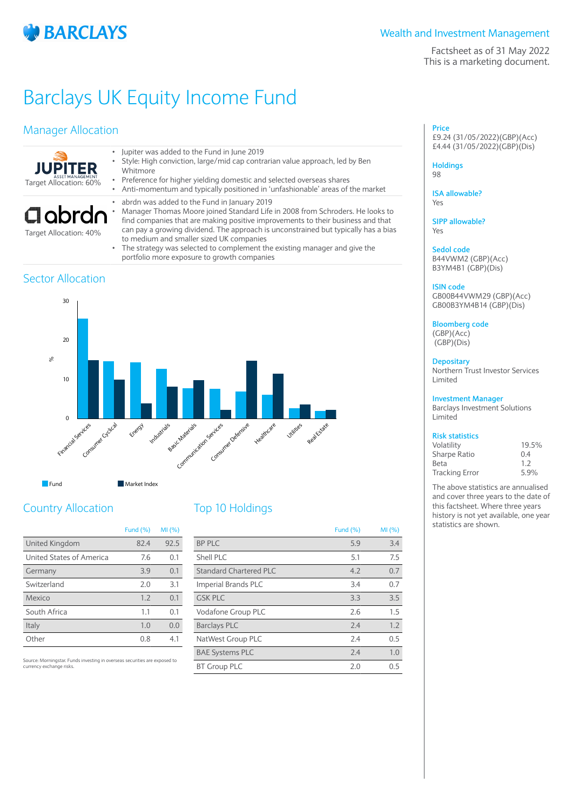

## Wealth and Investment Management

Factsheet as of 31 May 2022 This is a marketing document.

# Barclays UK Equity Income Fund

## Manager Allocation



Target Allocation: 40%

Sector Allocation

- Jupiter was added to the Fund in June 2019 • Style: High conviction, large/mid cap contrarian value approach, led by Ben
	- Whitmore
	- Preference for higher yielding domestic and selected overseas shares • Anti-momentum and typically positioned in 'unfashionable' areas of the market
	- abrdn was added to the Fund in January 2019
	- Manager Thomas Moore joined Standard Life in 2008 from Schroders. He looks to find companies that are making positive improvements to their business and that can pay a growing dividend. The approach is unconstrained but typically has a bias to medium and smaller sized UK companies
	- The strategy was selected to complement the existing manager and give the portfolio more exposure to growth companies

## 0 10 20 30  $\frac{1}{2}$ Financial Services Consumer Cyclical Energy Industrials Basic Materials Communication Sexices Consumer Defensive Heathcare Utilities Real Kstate **Fund** Market Index

# Country Allocation

|                          | <b>Fund (%)</b> | MI (%) |
|--------------------------|-----------------|--------|
| United Kingdom           | 82.4            | 92.5   |
| United States of America | 7.6             | 0.1    |
| Germany                  | 3.9             | 0.1    |
| Switzerland              | 2.0             | 3.1    |
| Mexico                   | 1.7             | 0.1    |
| South Africa             | 1.1             | 0.1    |
| Italy                    | 1.0             | 0.0    |
| 0ther                    | 0.8             | 41     |

Source: Morningstar. Funds investing in overseas securities are exposed to currency exchange risks.

## Top 10 Holdings

|                               | <b>Fund (%)</b> | MI(%) |
|-------------------------------|-----------------|-------|
| <b>BP PLC</b>                 | 5.9             | 3.4   |
| Shell PLC                     | 5.1             | 7.5   |
| <b>Standard Chartered PLC</b> | 4.2             | 0.7   |
| <b>Imperial Brands PLC</b>    | 3.4             | 0.7   |
| <b>GSK PLC</b>                | 3.3             | 3.5   |
| Vodafone Group PLC            | 2.6             | 1.5   |
| <b>Barclays PLC</b>           | 2.4             | 1.2   |
| NatWest Group PLC             | 7.4             | 0.5   |
| <b>BAE Systems PLC</b>        | 2.4             | 1.0   |
| <b>BT Group PLC</b>           | 2.0             | 0.5   |

**Price** £9.24 (31/05/2022)(GBP)(Acc) £4.44 (31/05/2022)(GBP)(Dis)

**Holdings** 98

**ISA allowable?** Yes

**SIPP allowable?** Yes

**Sedol code** B44VWM2 (GBP)(Acc) B3YM4B1 (GBP)(Dis)

### **ISIN code**

GB00B44VWM29 (GBP)(Acc) GB00B3YM4B14 (GBP)(Dis)

**Bloomberg code** (GBP)(Acc)

(GBP)(Dis)

## **Depositary**

Northern Trust Investor Services Limited

### **Investment Manager**

Barclays Investment Solutions Limited

## **Risk statistics**

| Volatility            | 19.5% |
|-----------------------|-------|
| Sharpe Ratio          | 0.4   |
| Beta                  | 1.7   |
| <b>Tracking Error</b> | 5.9%  |

The above statistics are annualised and cover three years to the date of this factsheet. Where three years history is not yet available, one year statistics are shown.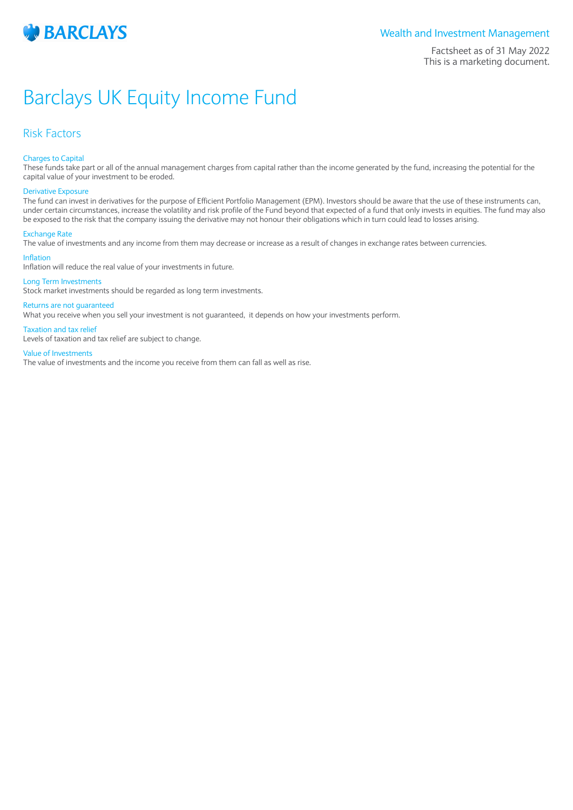

## Wealth and Investment Management

Factsheet as of 31 May 2022 This is a marketing document.

# Barclays UK Equity Income Fund

## Risk Factors

### Charges to Capital

These funds take part or all of the annual management charges from capital rather than the income generated by the fund, increasing the potential for the capital value of your investment to be eroded.

#### Derivative Exposure

The fund can invest in derivatives for the purpose of Efficient Portfolio Management (EPM). Investors should be aware that the use of these instruments can, under certain circumstances, increase the volatility and risk profile of the Fund beyond that expected of a fund that only invests in equities. The fund may also be exposed to the risk that the company issuing the derivative may not honour their obligations which in turn could lead to losses arising.

#### Exchange Rate

The value of investments and any income from them may decrease or increase as a result of changes in exchange rates between currencies.

### Inflation

Inflation will reduce the real value of your investments in future.

#### Long Term Investments

Stock market investments should be regarded as long term investments.

#### Returns are not guaranteed

What you receive when you sell your investment is not guaranteed, it depends on how your investments perform.

#### Taxation and tax relief

Levels of taxation and tax relief are subject to change.

#### Value of Investments

The value of investments and the income you receive from them can fall as well as rise.